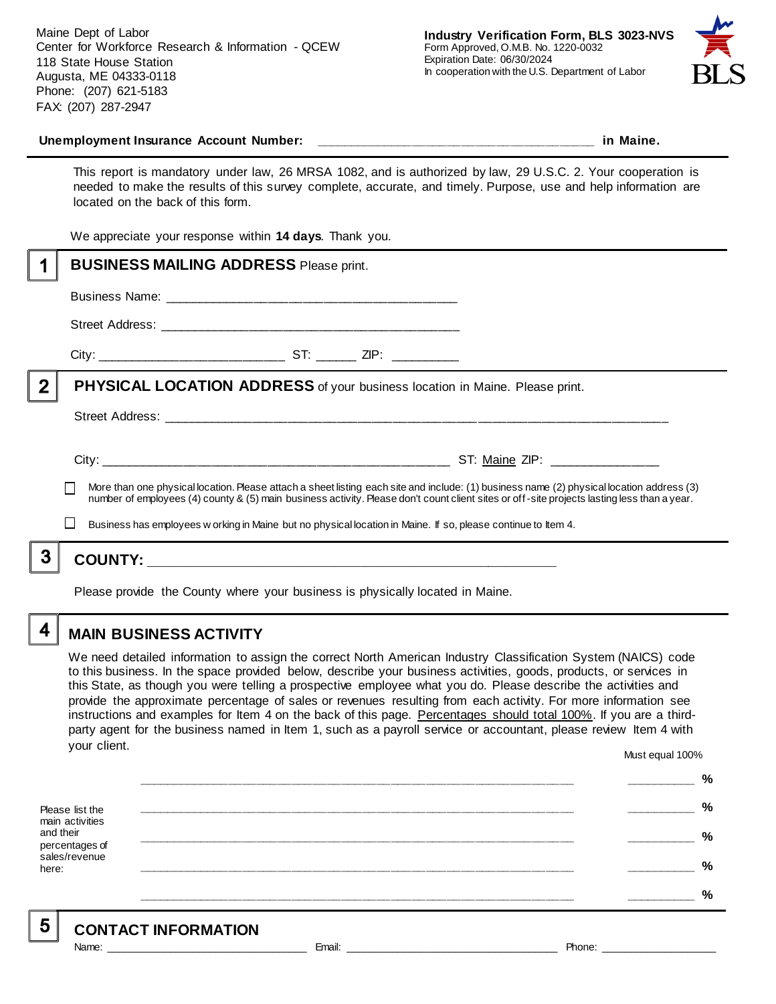Maine Dept of Labor Center for Workforce Research & Information - QCEW 118 State House Station Augusta, ME 04333-0118 Phone: (207) 621-5183 FAX: (207) 287-2947



#### **Unemployment Insurance Account Number: \_\_\_\_\_\_\_\_\_\_\_\_\_\_\_\_\_\_\_\_\_\_\_\_\_\_\_\_\_\_\_\_\_\_\_\_\_\_\_\_ in Maine.**

This report is mandatory under law, 26 MRSA 1082, and is authorized by law, 29 U.S.C. 2. Your cooperation is needed to make the results of this survey complete, accurate, and timely. Purpose, use and help information are located on the back of this form.

We appreciate your response within **14 days**. Thank you.

|                | <b>BUSINESS MAILING ADDRESS Please print.</b>                                                                                                                                                                                                                                            |
|----------------|------------------------------------------------------------------------------------------------------------------------------------------------------------------------------------------------------------------------------------------------------------------------------------------|
|                |                                                                                                                                                                                                                                                                                          |
|                |                                                                                                                                                                                                                                                                                          |
|                |                                                                                                                                                                                                                                                                                          |
| $\overline{2}$ | PHYSICAL LOCATION ADDRESS of your business location in Maine. Please print.                                                                                                                                                                                                              |
|                |                                                                                                                                                                                                                                                                                          |
|                |                                                                                                                                                                                                                                                                                          |
|                | More than one physical location. Please attach a sheet listing each site and include: (1) business name (2) physical location address (3)<br>number of employees (4) county & (5) main business activity. Please don't count client sites or off-site projects lasting less than a year. |
|                | Business has employees w orking in Maine but no physical location in Maine. If so, please continue to Item 4.                                                                                                                                                                            |
| 3              |                                                                                                                                                                                                                                                                                          |
|                | Please provide the County where your business is physically located in Maine.                                                                                                                                                                                                            |

## **MAIN BUSINESS ACTIVITY**

We need detailed information to assign the correct North American Industry Classification System (NAICS) code to this business. In the space provided below, describe your business activities, goods, products, or services in this State, as though you were telling a prospective employee what you do. Please describe the activities and provide the approximate percentage of sales or revenues resulting from each activity. For more information see instructions and examples for Item 4 on the back of this page. Percentages should total 100%. If you are a thirdparty agent for the business named in Item 1, such as a payroll service or accountant, please review Item 4 with your client. Must equal 100%

Please list the main activities and their percentages of sales/revenue here: **\_\_\_\_\_\_\_\_\_\_\_\_\_\_\_\_\_\_\_\_\_\_\_\_\_\_\_\_\_\_\_\_\_\_\_\_\_\_\_\_\_\_\_\_\_\_\_\_\_\_\_\_\_\_\_\_\_\_\_\_\_\_ \_\_\_\_\_\_\_\_\_\_ % \_\_\_\_\_\_\_\_\_\_\_\_\_\_\_\_\_\_\_\_\_\_\_\_\_\_\_\_\_\_\_\_\_\_\_\_\_\_\_\_\_\_\_\_\_\_\_\_\_\_\_\_\_\_\_\_\_\_\_\_\_\_ \_\_\_\_\_\_\_\_\_\_ % \_\_\_\_\_\_\_\_\_\_\_\_\_\_\_\_\_\_\_\_\_\_\_\_\_\_\_\_\_\_\_\_\_\_\_\_\_\_\_\_\_\_\_\_\_\_\_\_\_\_\_\_\_\_\_\_\_\_\_\_\_\_ \_\_\_\_\_\_\_\_\_\_ % \_\_\_\_\_\_\_\_\_\_\_\_\_\_\_\_\_\_\_\_\_\_\_\_\_\_\_\_\_\_\_\_\_\_\_\_\_\_\_\_\_\_\_\_\_\_\_\_\_\_\_\_\_\_\_\_\_\_\_\_\_\_ \_\_\_\_\_\_\_\_\_\_ % \_\_\_\_\_\_\_\_\_\_\_\_\_\_\_\_\_\_\_\_\_\_\_\_\_\_\_\_\_\_\_\_\_\_\_\_\_\_\_\_\_\_\_\_\_\_\_\_\_\_\_\_\_\_\_\_\_\_\_\_\_\_ \_\_\_\_\_\_\_\_\_\_ %**

5

4